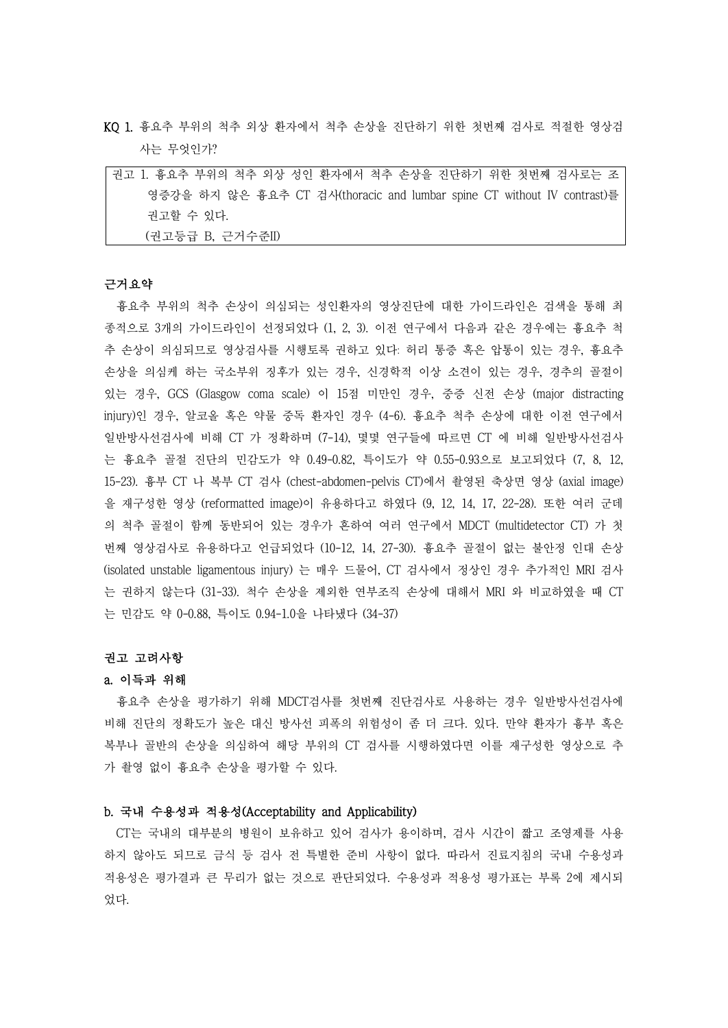- KQ 1. 흉요추 부위의 척추 외상 환자에서 척추 손상을 진단하기 위한 첫번째 검사로 적절한 영상검 사는 무엇인가?
- 권고 1. 흉요추 부위의 척추 외상 성인 환자에서 척추 손상을 진단하기 위한 첫번째 검사로는 조 영증강을 하지 않은 흉요추 CT 검사(thoracic and lumbar spine CT without IV contrast)를 권고할 수 있다. (권고등급 B, 근거수준II)

### 근거요약

흉요추 부위의 척추 손상이 의심되는 성인환자의 영상진단에 대한 가이드라인은 검색을 통해 최 종적으로 3개의 가이드라인이 선정되었다 (1, 2, 3). 이전 연구에서 다음과 같은 경우에는 흉요추 척 추 손상이 의심되므로 영상검사를 시행토록 권하고 있다: 허리 통증 혹은 압통이 있는 경우, 흉요추 손상을 의심케 하는 국소부위 징후가 있는 경우, 신경학적 이상 소견이 있는 경우, 경추의 골절이 있는 경우, GCS (Glasgow coma scale) 이 15점 미만인 경우, 중증 신전 손상 (major distracting injury)인 경우, 알코올 혹은 약물 중독 환자인 경우 (4-6). 흉요추 척추 손상에 대한 이전 연구에서 일반방사선검사에 비해 CT 가 정확하며 (7-14), 몇몇 연구들에 따르면 CT 에 비해 일반방사선검사 는 흉요추 골절 진단의 민감도가 약 0.49-0.82, 특이도가 약 0.55-0.93으로 보고되었다 (7, 8, 12, 15-23). 흉부 CT 나 복부 CT 검사 (chest-abdomen-pelvis CT)에서 촬영된 축상면 영상 (axial image) 을 재구성한 영상 (reformatted image)이 유용하다고 하였다 (9, 12, 14, 17, 22-28). 또한 여러 군데 의 척추 골절이 함께 동반되어 있는 경우가 흔하여 여러 연구에서 MDCT (multidetector CT) 가 첫 번째 영상검사로 유용하다고 언급되었다 (10-12, 14, 27-30). 흉요추 골절이 없는 불안정 인대 손상 (isolated unstable ligamentous injury) 는 매우 드물어, CT 검사에서 정상인 경우 추가적인 MRI 검사 는 권하지 않는다 (31-33). 척수 손상을 제외한 연부조직 손상에 대해서 MRI 와 비교하였을 때 CT 는 민감도 약 0-0.88, 특이도 0.94-1.0을 나타냈다 (34-37)

### 권고 고려사항

### a. 이득과 위해

흉요추 손상을 평가하기 위해 MDCT검사를 첫번째 진단검사로 사용하는 경우 일반방사선검사에 비해 진단의 정확도가 높은 대신 방사선 피폭의 위험성이 좀 더 크다. 있다. 만약 환자가 흉부 혹은 복부나 골반의 손상을 의심하여 해당 부위의 CT 검사를 시행하였다면 이를 재구성한 영상으로 추 가 촬영 없이 흉요추 손상을 평가할 수 있다.

## b. 국내 수용성과 적용성(Acceptability and Applicability)

CT는 국내의 대부분의 병원이 보유하고 있어 검사가 용이하며, 검사 시간이 짧고 조영제를 사용 하지 않아도 되므로 금식 등 검사 전 특별한 준비 사항이 없다. 따라서 진료지침의 국내 수용성과 적용성은 평가결과 큰 무리가 없는 것으로 판단되었다. 수용성과 적용성 평가표는 부록 2에 제시되 었다.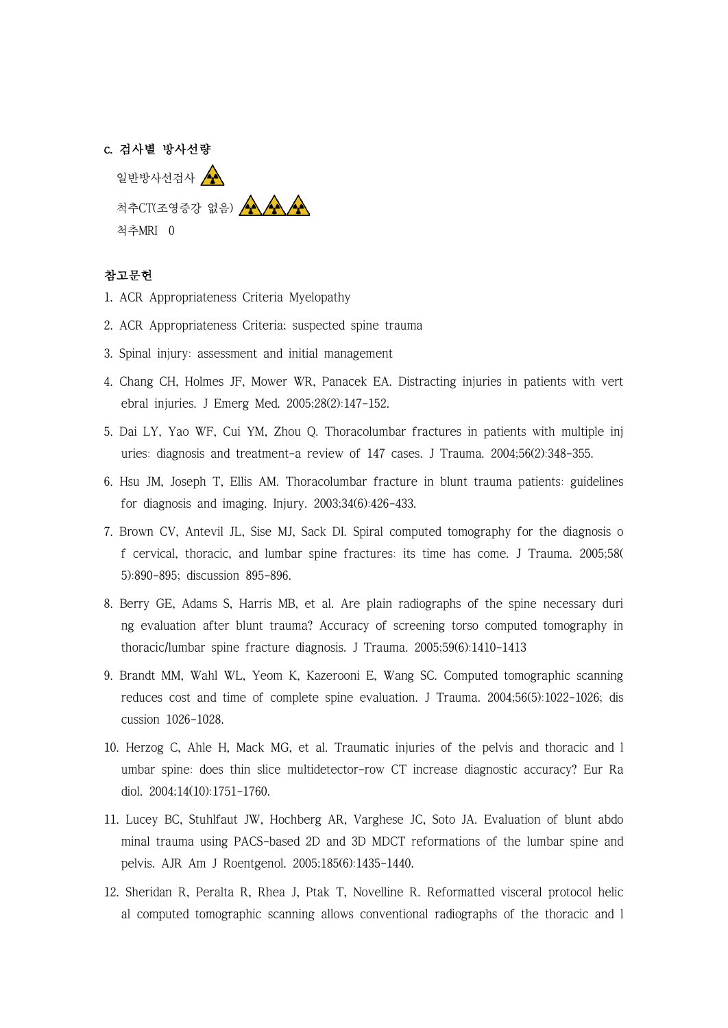### c. 검사별 방사선량

일반방사선검사  $\left(\begin{matrix} \bullet & \bullet \\ \bullet & \bullet \end{matrix}\right)$ 척추CT(조영증강 없음) AA AA 척추MRI 0

# 참고문헌

- 1. ACR Appropriateness Criteria Myelopathy
- 2. ACR Appropriateness Criteria; suspected spine trauma
- 3. Spinal injury: assessment and initial management
- 4. Chang CH, Holmes JF, Mower WR, Panacek EA. Distracting injuries in patients with vert ebral injuries. J Emerg Med. 2005;28(2):147-152.
- 5. Dai LY, Yao WF, Cui YM, Zhou Q. Thoracolumbar fractures in patients with multiple inj uries: diagnosis and treatment-a review of 147 cases. J Trauma. 2004;56(2):348-355.
- 6. Hsu JM, Joseph T, Ellis AM. Thoracolumbar fracture in blunt trauma patients: guidelines for diagnosis and imaging. Injury. 2003;34(6):426-433.
- 7. Brown CV, Antevil JL, Sise MJ, Sack DI. Spiral computed tomography for the diagnosis o f cervical, thoracic, and lumbar spine fractures: its time has come. J Trauma. 2005;58( 5):890-895; discussion 895-896.
- 8. Berry GE, Adams S, Harris MB, et al. Are plain radiographs of the spine necessary duri ng evaluation after blunt trauma? Accuracy of screening torso computed tomography in thoracic/lumbar spine fracture diagnosis. J Trauma. 2005;59(6):1410-1413
- 9. Brandt MM, Wahl WL, Yeom K, Kazerooni E, Wang SC. Computed tomographic scanning reduces cost and time of complete spine evaluation. J Trauma. 2004;56(5):1022-1026; dis cussion 1026-1028.
- 10. Herzog C, Ahle H, Mack MG, et al. Traumatic injuries of the pelvis and thoracic and l umbar spine: does thin slice multidetector-row CT increase diagnostic accuracy? Eur Ra diol. 2004;14(10):1751-1760.
- 11. Lucey BC, Stuhlfaut JW, Hochberg AR, Varghese JC, Soto JA. Evaluation of blunt abdo minal trauma using PACS-based 2D and 3D MDCT reformations of the lumbar spine and pelvis. AJR Am J Roentgenol. 2005;185(6):1435-1440.
- 12. Sheridan R, Peralta R, Rhea J, Ptak T, Novelline R. Reformatted visceral protocol helic al computed tomographic scanning allows conventional radiographs of the thoracic and l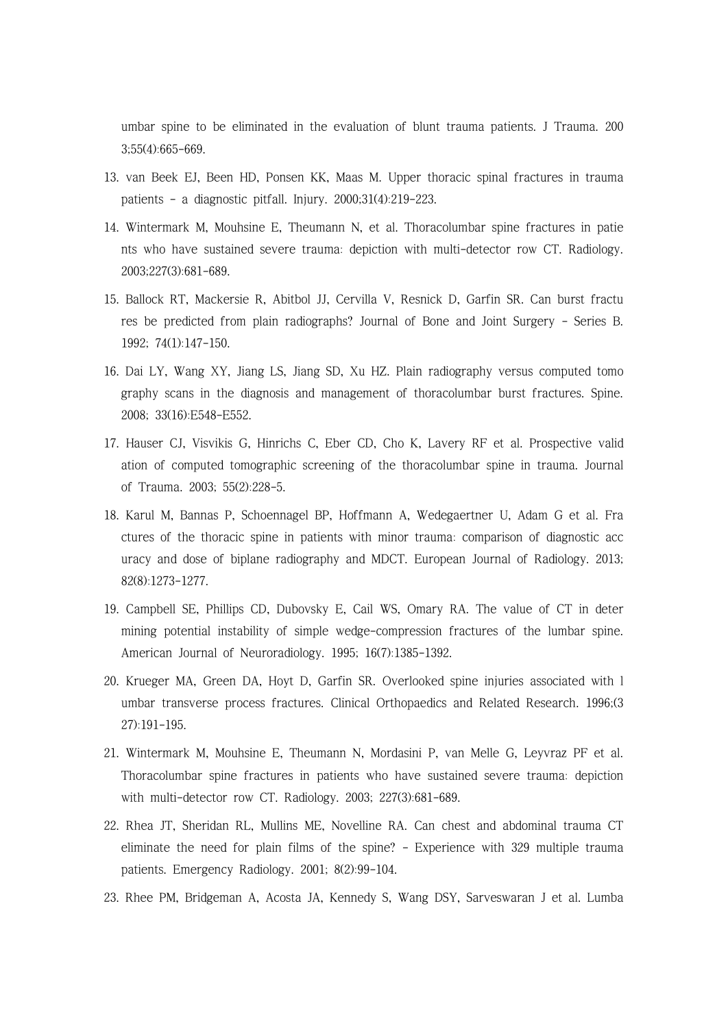umbar spine to be eliminated in the evaluation of blunt trauma patients. J Trauma. 200 3;55(4):665-669.

- 13. van Beek EJ, Been HD, Ponsen KK, Maas M. Upper thoracic spinal fractures in trauma patients - a diagnostic pitfall. Injury. 2000;31(4):219-223.
- 14. Wintermark M, Mouhsine E, Theumann N, et al. Thoracolumbar spine fractures in patie nts who have sustained severe trauma: depiction with multi-detector row CT. Radiology. 2003;227(3):681-689.
- 15. Ballock RT, Mackersie R, Abitbol JJ, Cervilla V, Resnick D, Garfin SR. Can burst fractu res be predicted from plain radiographs? Journal of Bone and Joint Surgery - Series B. 1992; 74(1):147-150.
- 16. Dai LY, Wang XY, Jiang LS, Jiang SD, Xu HZ. Plain radiography versus computed tomo graphy scans in the diagnosis and management of thoracolumbar burst fractures. Spine. 2008; 33(16):E548-E552.
- 17. Hauser CJ, Visvikis G, Hinrichs C, Eber CD, Cho K, Lavery RF et al. Prospective valid ation of computed tomographic screening of the thoracolumbar spine in trauma. Journal of Trauma. 2003; 55(2):228-5.
- 18. Karul M, Bannas P, Schoennagel BP, Hoffmann A, Wedegaertner U, Adam G et al. Fra ctures of the thoracic spine in patients with minor trauma: comparison of diagnostic acc uracy and dose of biplane radiography and MDCT. European Journal of Radiology. 2013; 82(8):1273-1277.
- 19. Campbell SE, Phillips CD, Dubovsky E, Cail WS, Omary RA. The value of CT in deter mining potential instability of simple wedge-compression fractures of the lumbar spine. American Journal of Neuroradiology. 1995; 16(7):1385-1392.
- 20. Krueger MA, Green DA, Hoyt D, Garfin SR. Overlooked spine injuries associated with l umbar transverse process fractures. Clinical Orthopaedics and Related Research. 1996;(3 27):191-195.
- 21. Wintermark M, Mouhsine E, Theumann N, Mordasini P, van Melle G, Leyvraz PF et al. Thoracolumbar spine fractures in patients who have sustained severe trauma: depiction with multi-detector row CT. Radiology. 2003; 227(3):681-689.
- 22. Rhea JT, Sheridan RL, Mullins ME, Novelline RA. Can chest and abdominal trauma CT eliminate the need for plain films of the spine? - Experience with 329 multiple trauma patients. Emergency Radiology. 2001; 8(2):99-104.
- 23. Rhee PM, Bridgeman A, Acosta JA, Kennedy S, Wang DSY, Sarveswaran J et al. Lumba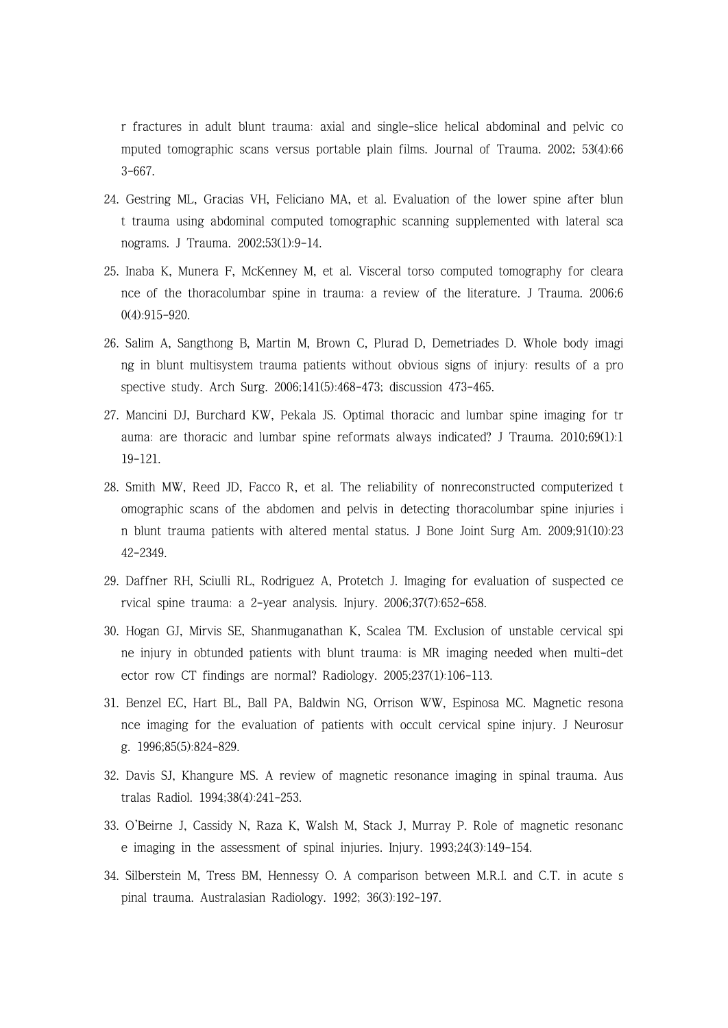r fractures in adult blunt trauma: axial and single-slice helical abdominal and pelvic co mputed tomographic scans versus portable plain films. Journal of Trauma. 2002; 53(4):66 3-667.

- 24. Gestring ML, Gracias VH, Feliciano MA, et al. Evaluation of the lower spine after blun t trauma using abdominal computed tomographic scanning supplemented with lateral sca nograms. J Trauma. 2002;53(1):9-14.
- 25. Inaba K, Munera F, McKenney M, et al. Visceral torso computed tomography for cleara nce of the thoracolumbar spine in trauma: a review of the literature. J Trauma. 2006;6 0(4):915-920.
- 26. Salim A, Sangthong B, Martin M, Brown C, Plurad D, Demetriades D. Whole body imagi ng in blunt multisystem trauma patients without obvious signs of injury: results of a pro spective study. Arch Surg. 2006;141(5):468-473; discussion 473-465.
- 27. Mancini DJ, Burchard KW, Pekala JS. Optimal thoracic and lumbar spine imaging for tr auma: are thoracic and lumbar spine reformats always indicated? J Trauma. 2010;69(1):1 19-121.
- 28. Smith MW, Reed JD, Facco R, et al. The reliability of nonreconstructed computerized t omographic scans of the abdomen and pelvis in detecting thoracolumbar spine injuries i n blunt trauma patients with altered mental status. J Bone Joint Surg Am. 2009;91(10):23 42-2349.
- 29. Daffner RH, Sciulli RL, Rodriguez A, Protetch J. Imaging for evaluation of suspected ce rvical spine trauma: a 2-year analysis. Injury. 2006;37(7):652-658.
- 30. Hogan GJ, Mirvis SE, Shanmuganathan K, Scalea TM. Exclusion of unstable cervical spi ne injury in obtunded patients with blunt trauma: is MR imaging needed when multi-det ector row CT findings are normal? Radiology. 2005;237(1):106-113.
- 31. Benzel EC, Hart BL, Ball PA, Baldwin NG, Orrison WW, Espinosa MC. Magnetic resona nce imaging for the evaluation of patients with occult cervical spine injury. J Neurosur g. 1996;85(5):824-829.
- 32. Davis SJ, Khangure MS. A review of magnetic resonance imaging in spinal trauma. Aus tralas Radiol. 1994;38(4):241-253.
- 33. O'Beirne J, Cassidy N, Raza K, Walsh M, Stack J, Murray P. Role of magnetic resonanc e imaging in the assessment of spinal injuries. Injury. 1993;24(3):149-154.
- 34. Silberstein M, Tress BM, Hennessy O. A comparison between M.R.I. and C.T. in acute s pinal trauma. Australasian Radiology. 1992; 36(3):192-197.